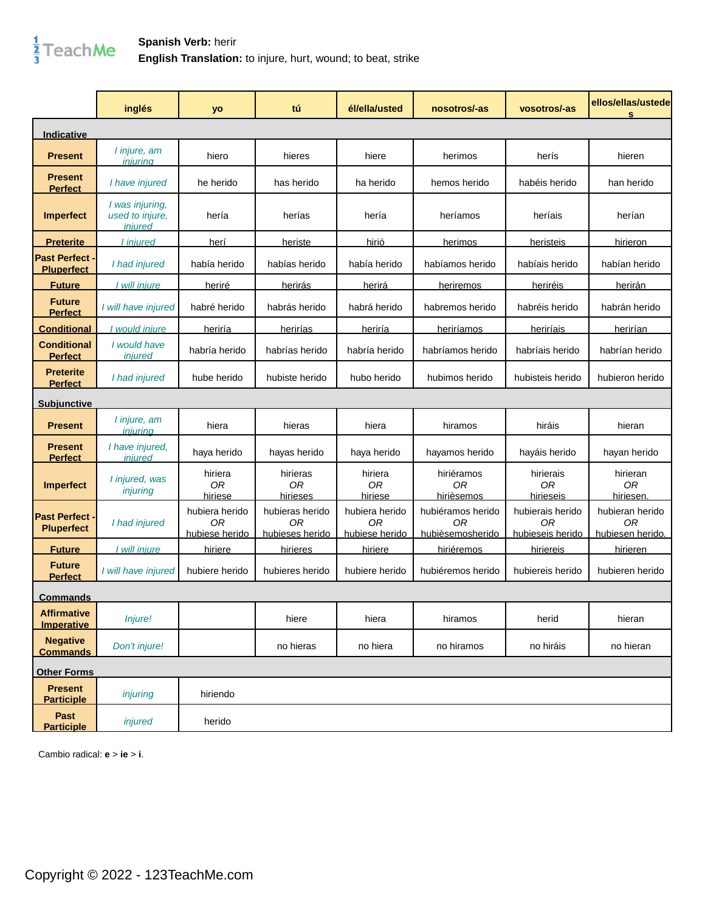

## **Spanish Verb:** herir **English Translation:** to injure, hurt, wound; to beat, strike

|                                          | inglés                                               | yo                                     | tú                                       | él/ella/usted                          | nosotros/-as                                | vosotros/-as                               | ellos/ellas/ustede<br>s                   |
|------------------------------------------|------------------------------------------------------|----------------------------------------|------------------------------------------|----------------------------------------|---------------------------------------------|--------------------------------------------|-------------------------------------------|
| Indicative                               |                                                      |                                        |                                          |                                        |                                             |                                            |                                           |
| <b>Present</b>                           | I injure, am<br>iniurina                             | hiero                                  | hieres                                   | hiere                                  | herimos                                     | herís                                      | hieren                                    |
| <b>Present</b><br><b>Perfect</b>         | I have injured                                       | he herido                              | has herido                               | ha herido                              | hemos herido                                | habéis herido                              | han herido                                |
| <b>Imperfect</b>                         | I was injuring,<br>used to injure,<br><i>iniured</i> | hería                                  | herías                                   | hería                                  | heríamos                                    | heríais                                    | herían                                    |
| <u>Preterite</u>                         | I iniured                                            | herí                                   | heriste                                  | <u>hirió</u>                           | herimos                                     | heristeis                                  | <u>hirieron</u>                           |
| <b>Past Perfect</b><br><b>Pluperfect</b> | I had injured                                        | había herido                           | habías herido                            | había herido                           | habíamos herido                             | habíais herido                             | habían herido                             |
| <b>Future</b>                            | I will injure                                        | heriré                                 | herirás                                  | herirá                                 | heriremos                                   | heriréis                                   | herirán                                   |
| <b>Future</b><br><b>Perfect</b>          | I will have injured                                  | habré herido                           | habrás herido                            | habrá herido                           | habremos herido                             | habréis herido                             | habrán herido                             |
| <b>Conditional</b>                       | would iniure                                         | heriría                                | herirías                                 | heriría                                | heriríamos                                  | heriríais                                  | herirían                                  |
| <b>Conditional</b><br><b>Perfect</b>     | I would have<br>injured                              | habría herido                          | habrías herido                           | habría herido                          | habríamos herido                            | habríais herido                            | habrían herido                            |
| <b>Preterite</b><br><b>Perfect</b>       | I had injured                                        | hube herido                            | hubiste herido                           | hubo herido                            | hubimos herido                              | hubisteis herido                           | hubieron herido                           |
| <u>Subiunctive</u>                       |                                                      |                                        |                                          |                                        |                                             |                                            |                                           |
| <b>Present</b>                           | I injure, am<br>iniurina                             | hiera                                  | hieras                                   | hiera                                  | hiramos                                     | hiráis                                     | hieran                                    |
| <b>Present</b><br><b>Perfect</b>         | I have injured,<br>injured                           | haya herido                            | hayas herido                             | haya herido                            | hayamos herido                              | hayáis herido                              | hayan herido                              |
| <b>Imperfect</b>                         | I injured, was<br>injuring                           | hiriera<br>0 <sub>R</sub><br>hiriese   | hirieras<br><b>OR</b><br>hirieses        | hiriera<br>0 <sub>R</sub><br>hiriese   | hiriéramos<br><b>OR</b><br>hirièsemos       | hirierais<br><b>OR</b><br>hirieseis        | hirieran<br>0 <sub>R</sub><br>hiriesen.   |
| <b>Past Perfect</b><br><b>Pluperfect</b> | I had injured                                        | hubiera herido<br>0R<br>hubiese herido | hubieras herido<br>ΟR<br>hubieses herido | hubiera herido<br>0R<br>hubiese herido | hubiéramos herido<br>ΩR<br>hubièsemosherido | hubierais herido<br>0R<br>hubieseis herido | hubieran herido<br>0R<br>hubiesen herido. |
| <b>Future</b>                            | I will iniure                                        | <u>hiriere</u>                         | hirieres                                 | <u>hiriere</u>                         | <u>hiriéremos</u>                           | <u>hiriereis</u>                           | hirieren                                  |
| <b>Future</b><br><b>Perfect</b>          | I will have injured                                  | hubiere herido                         | hubieres herido                          | hubiere herido                         | hubiéremos herido                           | hubiereis herido                           | hubieren herido                           |
| <u>Commands</u>                          |                                                      |                                        |                                          |                                        |                                             |                                            |                                           |
| <b>Affirmative</b><br><b>Imperative</b>  | Injure!                                              |                                        | hiere                                    | hiera                                  | hiramos                                     | herid                                      | hieran                                    |
| <b>Negative</b><br><b>Commands</b>       | Don't injure!                                        |                                        | no hieras                                | no hiera                               | no hiramos                                  | no hiráis                                  | no hieran                                 |
| <b>Other Forms</b>                       |                                                      |                                        |                                          |                                        |                                             |                                            |                                           |
| <b>Present</b><br><b>Participle</b>      | injuring                                             | hiriendo                               |                                          |                                        |                                             |                                            |                                           |
| Past<br><b>Participle</b>                | injured                                              | herido                                 |                                          |                                        |                                             |                                            |                                           |

Cambio radical: **e** > **ie** > **i**.